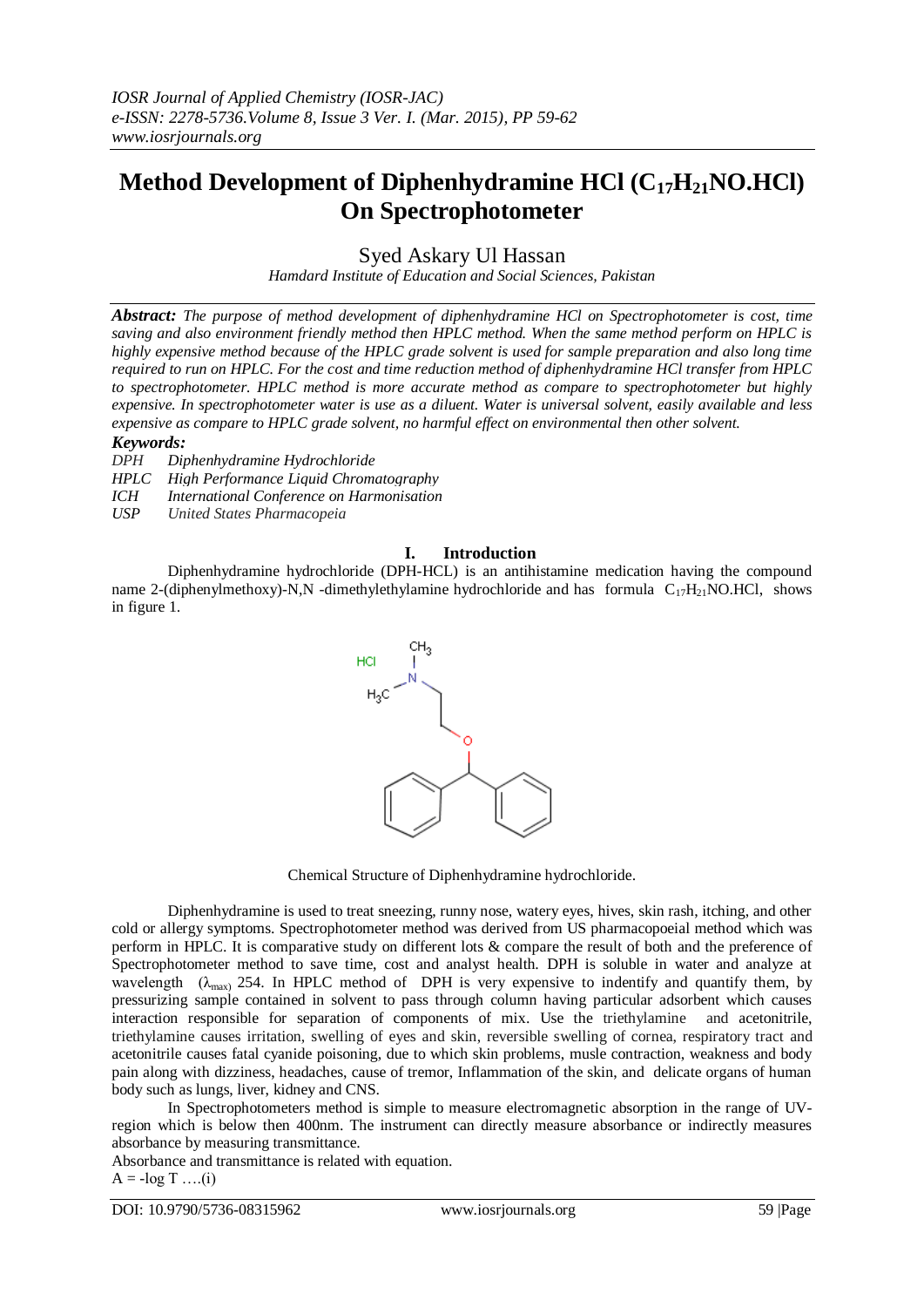# **Method Development of Diphenhydramine HCl (C17H21NO.HCl) On Spectrophotometer**

Syed Askary Ul Hassan

*Hamdard Institute of Education and Social Sciences, Pakistan*

*Abstract: The purpose of method development of diphenhydramine HCl on Spectrophotometer is cost, time saving and also environment friendly method then HPLC method. When the same method perform on HPLC is highly expensive method because of the HPLC grade solvent is used for sample preparation and also long time required to run on HPLC. For the cost and time reduction method of diphenhydramine HCl transfer from HPLC to spectrophotometer. HPLC method is more accurate method as compare to spectrophotometer but highly expensive. In spectrophotometer water is use as a diluent. Water is universal solvent, easily available and less expensive as compare to HPLC grade solvent, no harmful effect on environmental then other solvent.*

# *Keywords:*

*DPH Diphenhydramine Hydrochloride*

*HPLC High Performance Liquid Chromatography*

*ICH International Conference on Harmonisation*

*USP United States Pharmacopeia*

# **I. Introduction**

Diphenhydramine hydrochloride (DPH-HCL) is an antihistamine medication having the compound name 2-(diphenylmethoxy)-N,N -dimethylethylamine hydrochloride and has formula  $C_{17}H_{21}NO.HCl$ , shows in figure 1.



Chemical Structure of Diphenhydramine hydrochloride.

Diphenhydramine is used to treat sneezing, runny nose, watery eyes, hives, skin rash, itching, and other cold or allergy symptoms. Spectrophotometer method was derived from US pharmacopoeial method which was perform in HPLC. It is comparative study on different lots & compare the result of both and the preference of Spectrophotometer method to save time, cost and analyst health. DPH is soluble in water and analyze at wavelength  $(\lambda_{\text{max}})$  254. In HPLC method of DPH is very expensive to indentify and quantify them, by pressurizing sample contained in solvent to pass through column having particular adsorbent which causes interaction responsible for separation of components of mix. Use the triethylamine and acetonitrile, triethylamine causes irritation, swelling of eyes and skin, reversible swelling of cornea, respiratory tract and acetonitrile causes fatal cyanide poisoning, due to which skin problems, musle contraction, weakness and body pain along with dizziness, headaches, cause of tremor, Inflammation of the skin, and delicate organs of human body such as lungs, liver, kidney and CNS.

In Spectrophotometers method is simple to measure electromagnetic absorption in the range of UVregion which is below then 400nm. The instrument can directly measure absorbance or indirectly measures absorbance by measuring transmittance.

Absorbance and transmittance is related with equation.

$$
A = -\log T \dots (i)
$$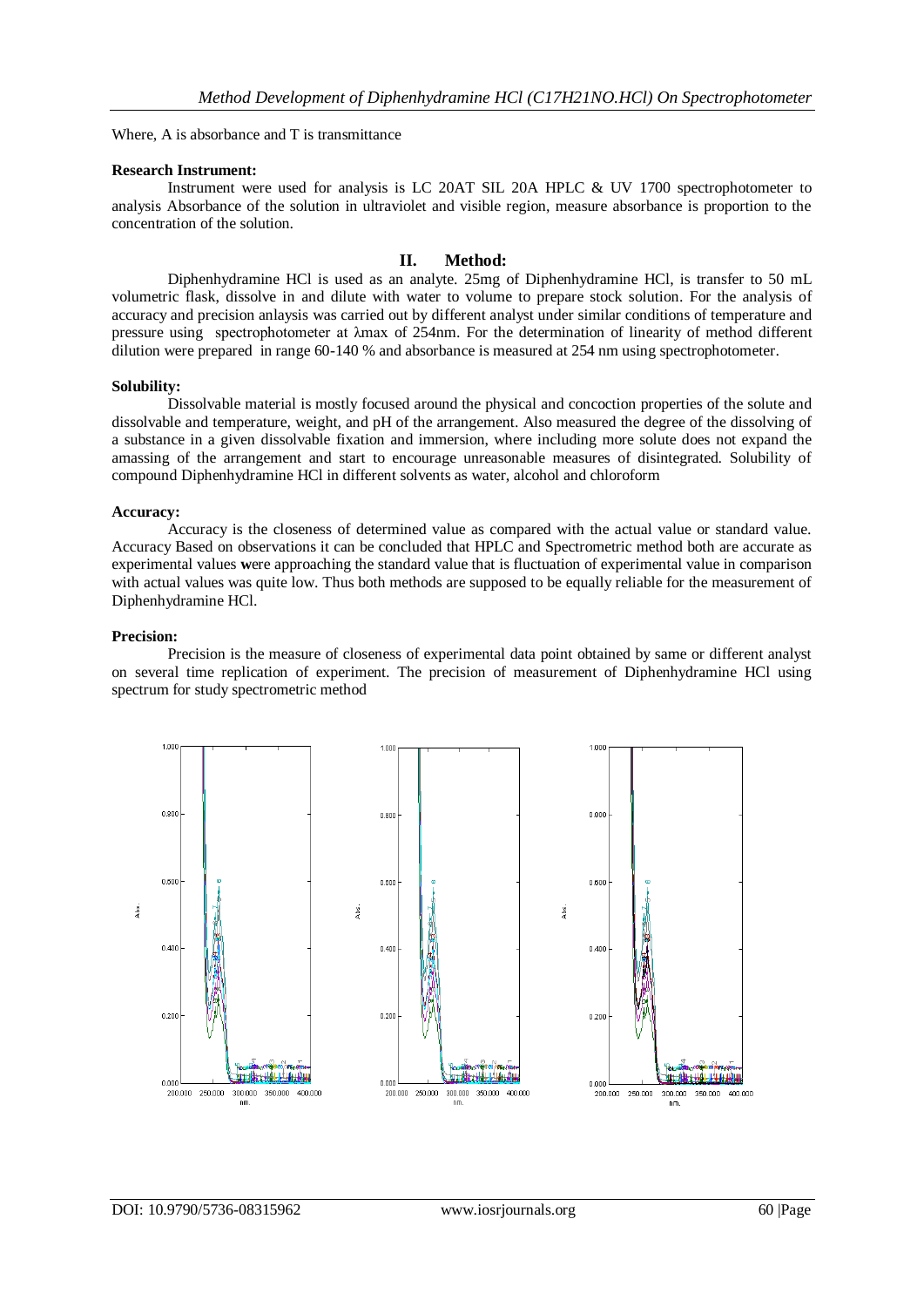Where, A is absorbance and T is transmittance

#### **Research Instrument:**

Instrument were used for analysis is LC 20AT SIL 20A HPLC & UV 1700 spectrophotometer to analysis Absorbance of the solution in ultraviolet and visible region, measure absorbance is proportion to the concentration of the solution.

# **II. Method:**

Diphenhydramine HCl is used as an analyte. 25mg of Diphenhydramine HCl, is transfer to 50 mL volumetric flask, dissolve in and dilute with water to volume to prepare stock solution. For the analysis of accuracy and precision anlaysis was carried out by different analyst under similar conditions of temperature and pressure using spectrophotometer at λmax of 254nm. For the determination of linearity of method different dilution were prepared in range 60-140 % and absorbance is measured at 254 nm using spectrophotometer.

#### **Solubility:**

Dissolvable material is mostly focused around the physical and concoction properties of the solute and dissolvable and temperature, weight, and pH of the arrangement. Also measured the degree of the dissolving of a substance in a given dissolvable fixation and immersion, where including more solute does not expand the amassing of the arrangement and start to encourage unreasonable measures of disintegrated. Solubility of compound Diphenhydramine HCl in different solvents as water, alcohol and chloroform

#### **Accuracy:**

Accuracy is the closeness of determined value as compared with the actual value or standard value. Accuracy Based on observations it can be concluded that HPLC and Spectrometric method both are accurate as experimental values were approaching the standard value that is fluctuation of experimental value in comparison with actual values was quite low. Thus both methods are supposed to be equally reliable for the measurement of Diphenhydramine HCl.

#### **Precision:**

Precision is the measure of closeness of experimental data point obtained by same or different analyst on several time replication of experiment. The precision of measurement of Diphenhydramine HCl using spectrum for study spectrometric method

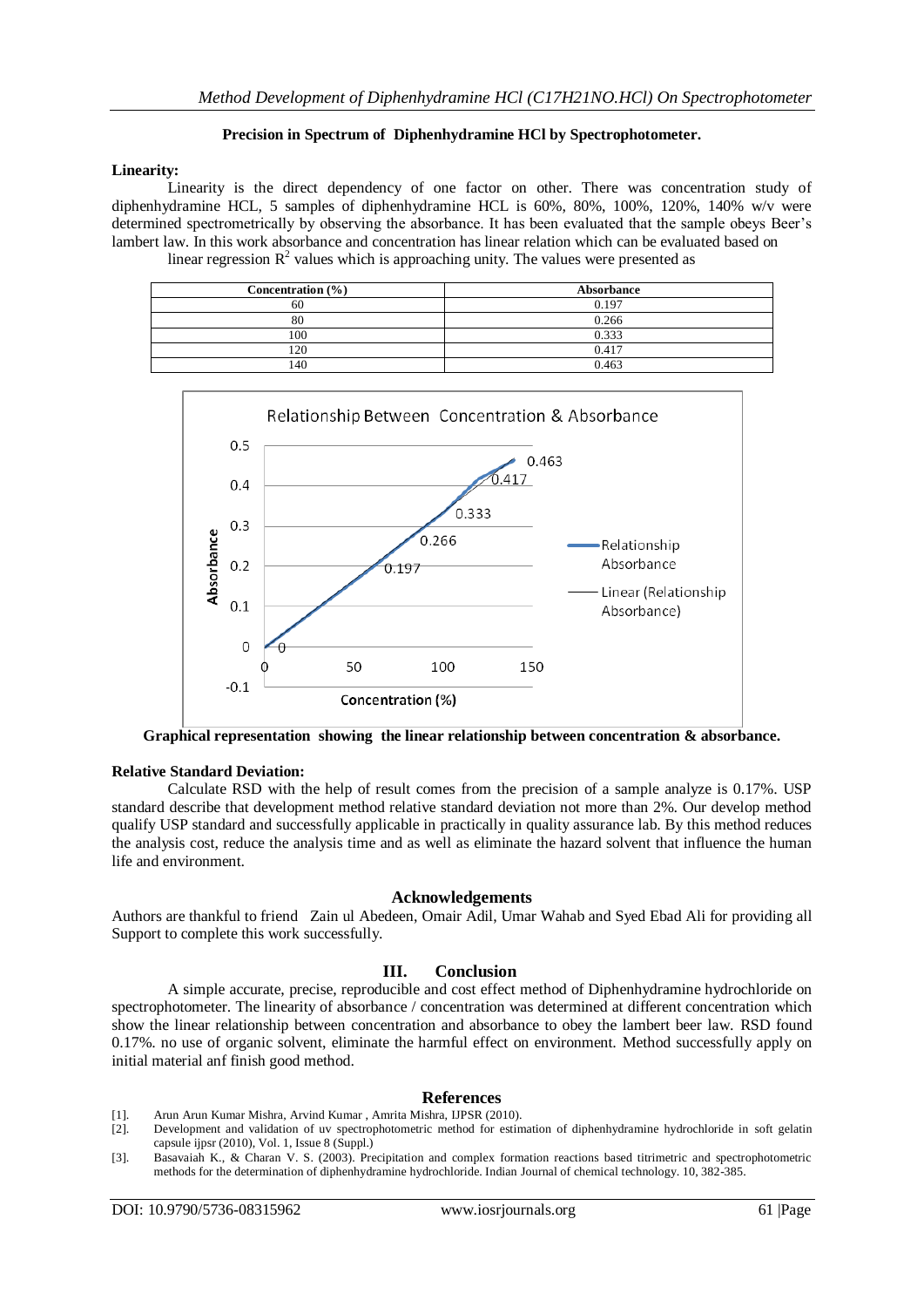# **Precision in Spectrum of Diphenhydramine HCl by Spectrophotometer.**

# **Linearity:**

Linearity is the direct dependency of one factor on other. There was concentration study of diphenhydramine HCL, 5 samples of diphenhydramine HCL is 60%, 80%, 100%, 120%, 140% w/v were determined spectrometrically by observing the absorbance. It has been evaluated that the sample obeys Beer's lambert law. In this work absorbance and concentration has linear relation which can be evaluated based on

linear regression  $R^2$  values which is approaching unity. The values were presented as

| Concentration $(\% )$ | Absorbance |
|-----------------------|------------|
| 60                    | 0.197      |
| 80                    | 0.266      |
| 100                   | 0.333      |
| 20                    | 0.417      |
| .40                   | 0.463      |



**Graphical representation showing the linear relationship between concentration & absorbance.**

# **Relative Standard Deviation:**

Calculate RSD with the help of result comes from the precision of a sample analyze is 0.17%. USP standard describe that development method relative standard deviation not more than 2%. Our develop method qualify USP standard and successfully applicable in practically in quality assurance lab. By this method reduces the analysis cost, reduce the analysis time and as well as eliminate the hazard solvent that influence the human life and environment.

# **Acknowledgements**

Authors are thankful to friend Zain ul Abedeen, Omair Adil, Umar Wahab and Syed Ebad Ali for providing all Support to complete this work successfully.

# **III. Conclusion**

A simple accurate, precise, reproducible and cost effect method of Diphenhydramine hydrochloride on spectrophotometer. The linearity of absorbance / concentration was determined at different concentration which show the linear relationship between concentration and absorbance to obey the lambert beer law. RSD found 0.17%. no use of organic solvent, eliminate the harmful effect on environment. Method successfully apply on initial material anf finish good method.

# **References**

- [1]. Arun Arun Kumar Mishra, Arvind Kumar , Amrita Mishra, IJPSR (2010).
- Development and validation of uv spectrophotometric method for estimation of diphenhydramine hydrochloride in soft gelatin capsule ijpsr (2010), Vol. 1, Issue 8 (Suppl.)
- [3]. Basavaiah K., & Charan V. S. (2003). Precipitation and complex formation reactions based titrimetric and spectrophotometric methods for the determination of diphenhydramine hydrochloride. Indian Journal of chemical technology. 10, 382-385.